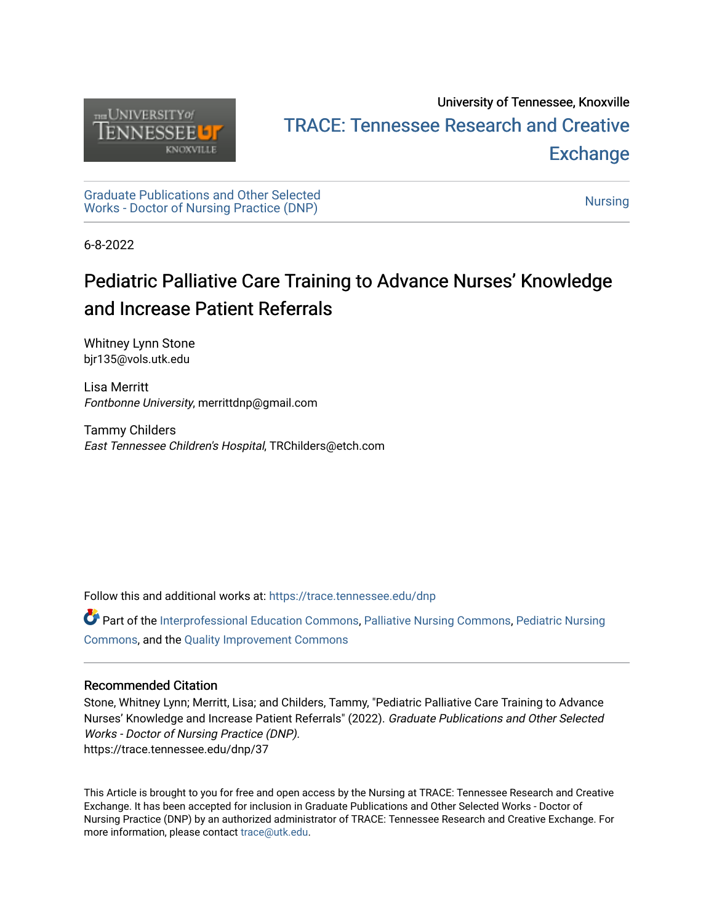

## University of Tennessee, Knoxville TRACE: T[ennessee Research and Cr](https://trace.tennessee.edu/)eative **Exchange**

[Graduate Publications and Other Selected](https://trace.tennessee.edu/dnp) Unaquate Publications and Other Selected<br>Works - Doctor of [Nursing](https://trace.tennessee.edu/utk-nurs) Practice (DNP)

6-8-2022

# Pediatric Palliative Care Training to Advance Nurses' Knowledge and Increase Patient Referrals

Whitney Lynn Stone bjr135@vols.utk.edu

Lisa Merritt Fontbonne University, merrittdnp@gmail.com

Tammy Childers East Tennessee Children's Hospital, TRChilders@etch.com

Follow this and additional works at: [https://trace.tennessee.edu/dnp](https://trace.tennessee.edu/dnp?utm_source=trace.tennessee.edu%2Fdnp%2F37&utm_medium=PDF&utm_campaign=PDFCoverPages) 

Part of the [Interprofessional Education Commons,](https://network.bepress.com/hgg/discipline/1372?utm_source=trace.tennessee.edu%2Fdnp%2F37&utm_medium=PDF&utm_campaign=PDFCoverPages) [Palliative Nursing Commons](https://network.bepress.com/hgg/discipline/1433?utm_source=trace.tennessee.edu%2Fdnp%2F37&utm_medium=PDF&utm_campaign=PDFCoverPages), [Pediatric Nursing](https://network.bepress.com/hgg/discipline/723?utm_source=trace.tennessee.edu%2Fdnp%2F37&utm_medium=PDF&utm_campaign=PDFCoverPages) [Commons](https://network.bepress.com/hgg/discipline/723?utm_source=trace.tennessee.edu%2Fdnp%2F37&utm_medium=PDF&utm_campaign=PDFCoverPages), and the [Quality Improvement Commons](https://network.bepress.com/hgg/discipline/1430?utm_source=trace.tennessee.edu%2Fdnp%2F37&utm_medium=PDF&utm_campaign=PDFCoverPages) 

#### Recommended Citation

Stone, Whitney Lynn; Merritt, Lisa; and Childers, Tammy, "Pediatric Palliative Care Training to Advance Nurses' Knowledge and Increase Patient Referrals" (2022). Graduate Publications and Other Selected Works - Doctor of Nursing Practice (DNP). https://trace.tennessee.edu/dnp/37

This Article is brought to you for free and open access by the Nursing at TRACE: Tennessee Research and Creative Exchange. It has been accepted for inclusion in Graduate Publications and Other Selected Works - Doctor of Nursing Practice (DNP) by an authorized administrator of TRACE: Tennessee Research and Creative Exchange. For more information, please contact [trace@utk.edu](mailto:trace@utk.edu).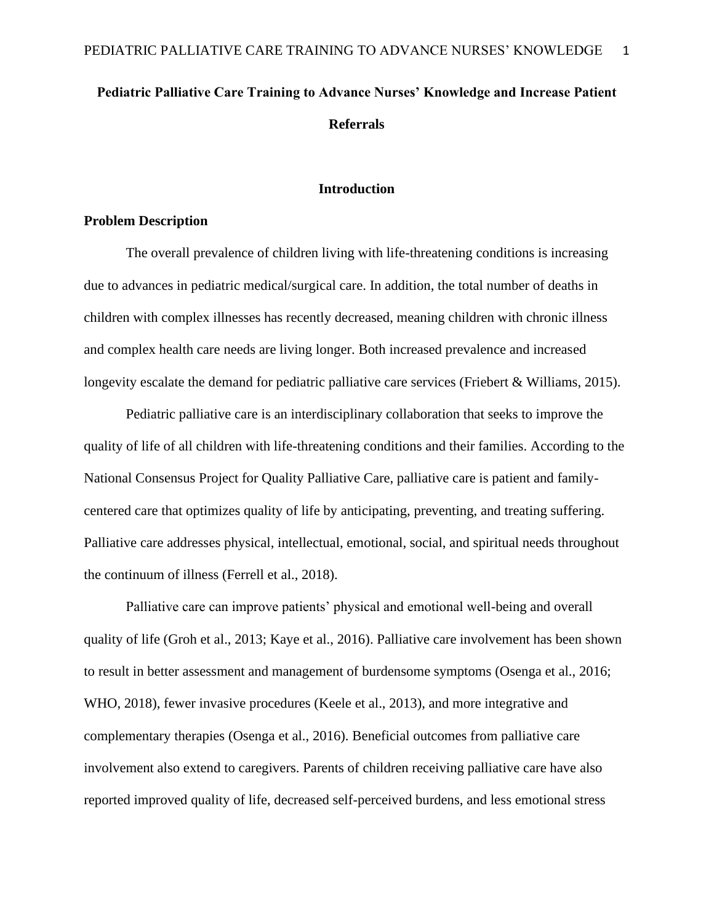## **Pediatric Palliative Care Training to Advance Nurses' Knowledge and Increase Patient Referrals**

#### **Introduction**

#### **Problem Description**

The overall prevalence of children living with life-threatening conditions is increasing due to advances in pediatric medical/surgical care. In addition, the total number of deaths in children with complex illnesses has recently decreased, meaning children with chronic illness and complex health care needs are living longer. Both increased prevalence and increased longevity escalate the demand for pediatric palliative care services (Friebert & Williams, 2015).

Pediatric palliative care is an interdisciplinary collaboration that seeks to improve the quality of life of all children with life-threatening conditions and their families. According to the National Consensus Project for Quality Palliative Care, palliative care is patient and familycentered care that optimizes quality of life by anticipating, preventing, and treating suffering. Palliative care addresses physical, intellectual, emotional, social, and spiritual needs throughout the continuum of illness (Ferrell et al., 2018).

Palliative care can improve patients' physical and emotional well-being and overall quality of life (Groh et al., 2013; Kaye et al., 2016). Palliative care involvement has been shown to result in better assessment and management of burdensome symptoms (Osenga et al., 2016; WHO, 2018), fewer invasive procedures (Keele et al., 2013), and more integrative and complementary therapies (Osenga et al., 2016). Beneficial outcomes from palliative care involvement also extend to caregivers. Parents of children receiving palliative care have also reported improved quality of life, decreased self-perceived burdens, and less emotional stress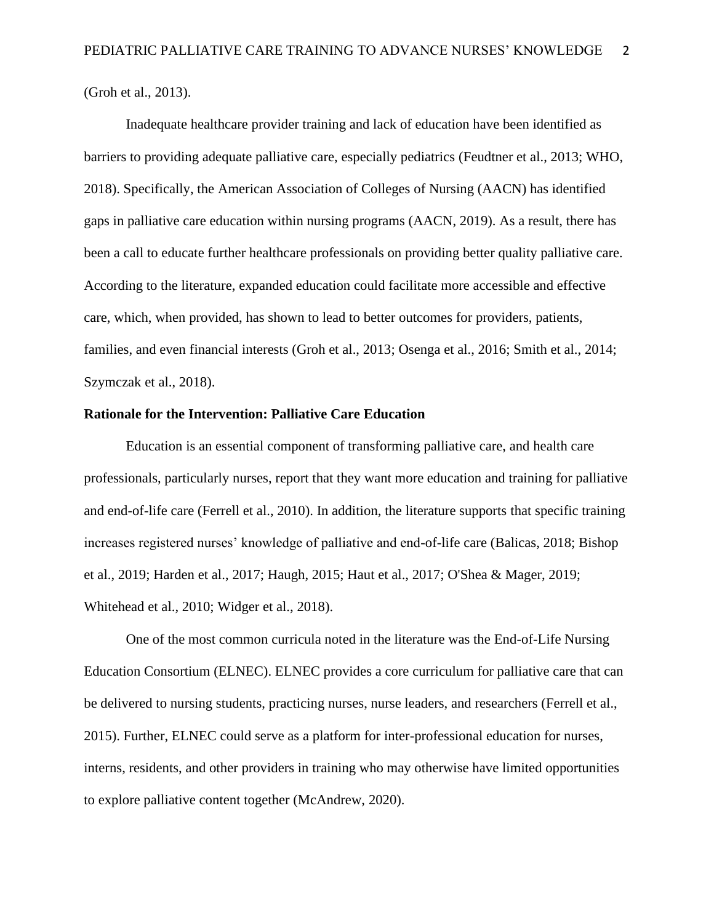(Groh et al., 2013).

Inadequate healthcare provider training and lack of education have been identified as barriers to providing adequate palliative care, especially pediatrics (Feudtner et al., 2013; WHO, 2018). Specifically, the American Association of Colleges of Nursing (AACN) has identified gaps in palliative care education within nursing programs (AACN, 2019). As a result, there has been a call to educate further healthcare professionals on providing better quality palliative care. According to the literature, expanded education could facilitate more accessible and effective care, which, when provided, has shown to lead to better outcomes for providers, patients, families, and even financial interests (Groh et al., 2013; Osenga et al., 2016; Smith et al., 2014; Szymczak et al., 2018).

#### **Rationale for the Intervention: Palliative Care Education**

Education is an essential component of transforming palliative care, and health care professionals, particularly nurses, report that they want more education and training for palliative and end-of-life care (Ferrell et al., 2010). In addition, the literature supports that specific training increases registered nurses' knowledge of palliative and end-of-life care (Balicas, 2018; Bishop et al., 2019; Harden et al., 2017; Haugh, 2015; Haut et al., 2017; O'Shea & Mager, 2019; Whitehead et al., 2010; Widger et al., 2018).

One of the most common curricula noted in the literature was the End-of-Life Nursing Education Consortium (ELNEC). ELNEC provides a core curriculum for palliative care that can be delivered to nursing students, practicing nurses, nurse leaders, and researchers (Ferrell et al., 2015). Further, ELNEC could serve as a platform for inter-professional education for nurses, interns, residents, and other providers in training who may otherwise have limited opportunities to explore palliative content together (McAndrew, 2020).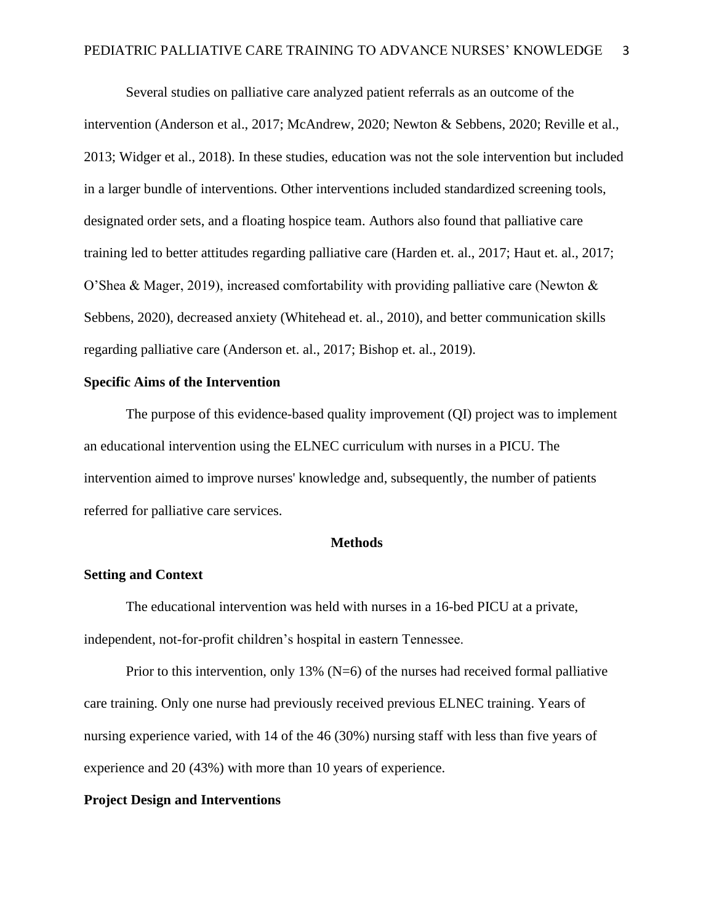Several studies on palliative care analyzed patient referrals as an outcome of the intervention (Anderson et al., 2017; McAndrew, 2020; Newton & Sebbens, 2020; Reville et al., 2013; Widger et al., 2018). In these studies, education was not the sole intervention but included in a larger bundle of interventions. Other interventions included standardized screening tools, designated order sets, and a floating hospice team. Authors also found that palliative care training led to better attitudes regarding palliative care (Harden et. al., 2017; Haut et. al., 2017; O'Shea & Mager, 2019), increased comfortability with providing palliative care (Newton & Sebbens, 2020), decreased anxiety (Whitehead et. al., 2010), and better communication skills regarding palliative care (Anderson et. al., 2017; Bishop et. al., 2019).

#### **Specific Aims of the Intervention**

The purpose of this evidence-based quality improvement (QI) project was to implement an educational intervention using the ELNEC curriculum with nurses in a PICU. The intervention aimed to improve nurses' knowledge and, subsequently, the number of patients referred for palliative care services.

#### **Methods**

#### **Setting and Context**

The educational intervention was held with nurses in a 16-bed PICU at a private, independent, not-for-profit children's hospital in eastern Tennessee.

Prior to this intervention, only 13% ( $N=6$ ) of the nurses had received formal palliative care training. Only one nurse had previously received previous ELNEC training. Years of nursing experience varied, with 14 of the 46 (30%) nursing staff with less than five years of experience and 20 (43%) with more than 10 years of experience.

#### **Project Design and Interventions**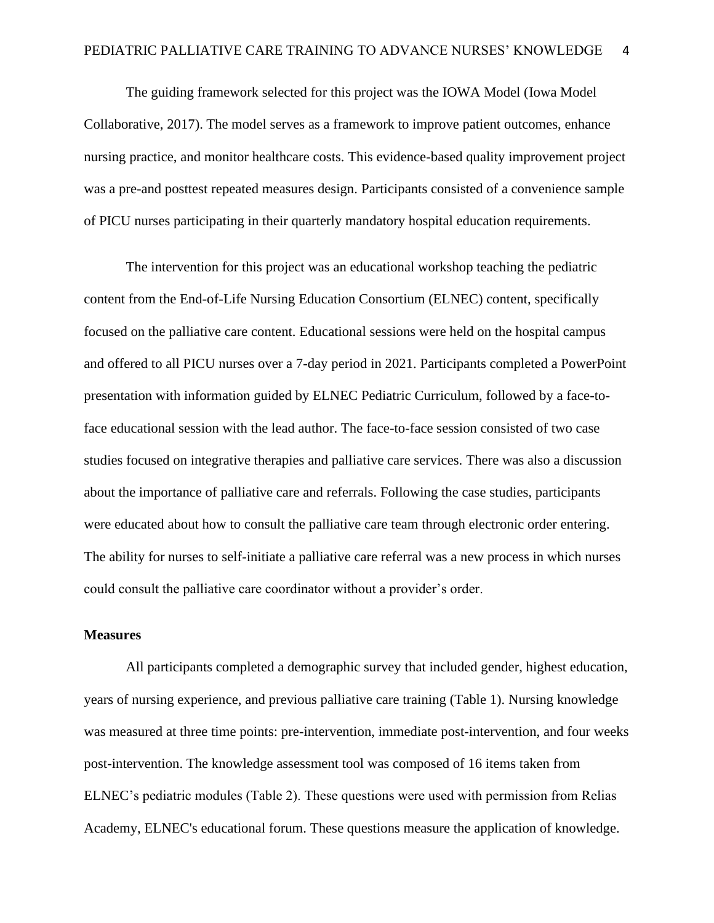The guiding framework selected for this project was the IOWA Model (Iowa Model Collaborative, 2017). The model serves as a framework to improve patient outcomes, enhance nursing practice, and monitor healthcare costs. This evidence-based quality improvement project was a pre-and posttest repeated measures design. Participants consisted of a convenience sample of PICU nurses participating in their quarterly mandatory hospital education requirements.

The intervention for this project was an educational workshop teaching the pediatric content from the End-of-Life Nursing Education Consortium (ELNEC) content, specifically focused on the palliative care content. Educational sessions were held on the hospital campus and offered to all PICU nurses over a 7-day period in 2021. Participants completed a PowerPoint presentation with information guided by ELNEC Pediatric Curriculum, followed by a face-toface educational session with the lead author. The face-to-face session consisted of two case studies focused on integrative therapies and palliative care services. There was also a discussion about the importance of palliative care and referrals. Following the case studies, participants were educated about how to consult the palliative care team through electronic order entering. The ability for nurses to self-initiate a palliative care referral was a new process in which nurses could consult the palliative care coordinator without a provider's order.

#### **Measures**

All participants completed a demographic survey that included gender, highest education, years of nursing experience, and previous palliative care training (Table 1). Nursing knowledge was measured at three time points: pre-intervention, immediate post-intervention, and four weeks post-intervention. The knowledge assessment tool was composed of 16 items taken from ELNEC's pediatric modules (Table 2). These questions were used with permission from Relias Academy, ELNEC's educational forum. These questions measure the application of knowledge.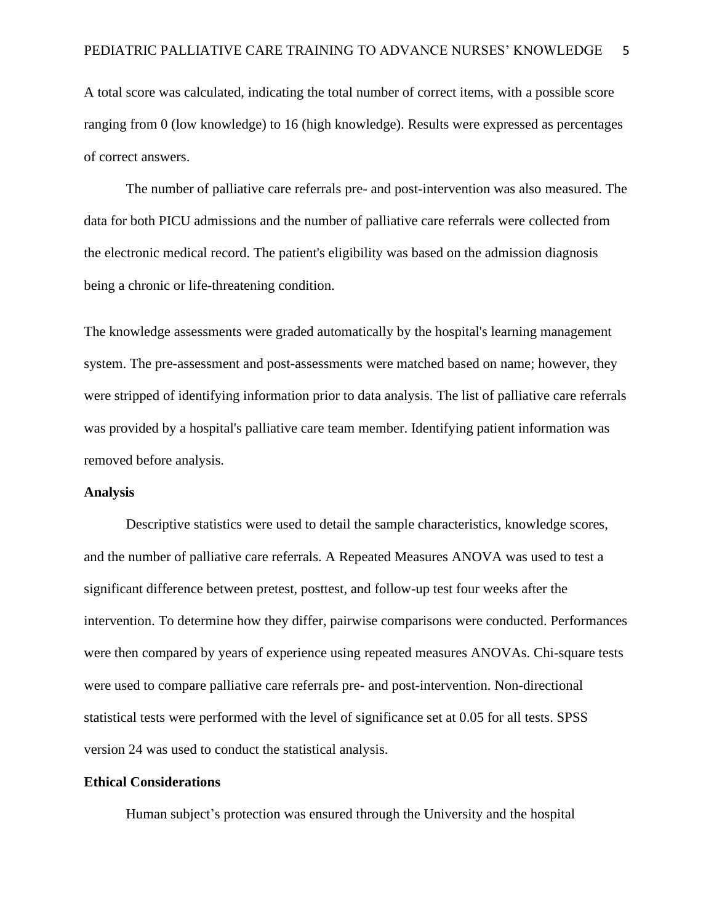A total score was calculated, indicating the total number of correct items, with a possible score ranging from 0 (low knowledge) to 16 (high knowledge). Results were expressed as percentages of correct answers.

The number of palliative care referrals pre- and post-intervention was also measured. The data for both PICU admissions and the number of palliative care referrals were collected from the electronic medical record. The patient's eligibility was based on the admission diagnosis being a chronic or life-threatening condition.

The knowledge assessments were graded automatically by the hospital's learning management system. The pre-assessment and post-assessments were matched based on name; however, they were stripped of identifying information prior to data analysis. The list of palliative care referrals was provided by a hospital's palliative care team member. Identifying patient information was removed before analysis.

#### **Analysis**

Descriptive statistics were used to detail the sample characteristics, knowledge scores, and the number of palliative care referrals. A Repeated Measures ANOVA was used to test a significant difference between pretest, posttest, and follow-up test four weeks after the intervention. To determine how they differ, pairwise comparisons were conducted. Performances were then compared by years of experience using repeated measures ANOVAs. Chi-square tests were used to compare palliative care referrals pre- and post-intervention. Non-directional statistical tests were performed with the level of significance set at 0.05 for all tests. SPSS version 24 was used to conduct the statistical analysis.

#### **Ethical Considerations**

Human subject's protection was ensured through the University and the hospital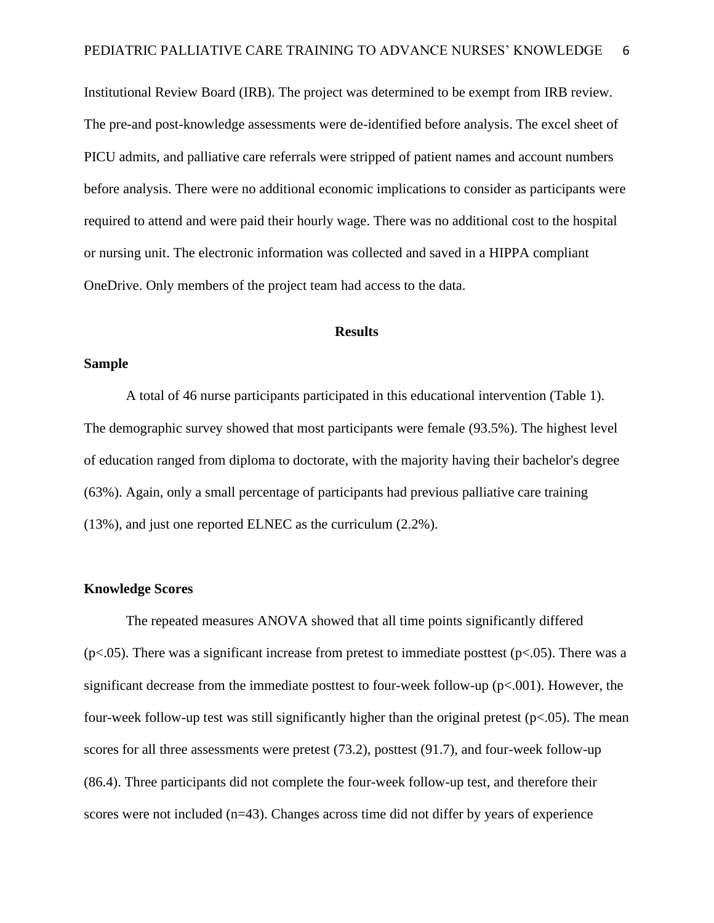Institutional Review Board (IRB). The project was determined to be exempt from IRB review. The pre-and post-knowledge assessments were de-identified before analysis. The excel sheet of PICU admits, and palliative care referrals were stripped of patient names and account numbers before analysis. There were no additional economic implications to consider as participants were required to attend and were paid their hourly wage. There was no additional cost to the hospital or nursing unit. The electronic information was collected and saved in a HIPPA compliant OneDrive. Only members of the project team had access to the data.

#### **Results**

#### **Sample**

A total of 46 nurse participants participated in this educational intervention (Table 1). The demographic survey showed that most participants were female (93.5%). The highest level of education ranged from diploma to doctorate, with the majority having their bachelor's degree (63%). Again, only a small percentage of participants had previous palliative care training (13%), and just one reported ELNEC as the curriculum (2.2%).

#### **Knowledge Scores**

The repeated measures ANOVA showed that all time points significantly differed ( $p$ <.05). There was a significant increase from pretest to immediate posttest ( $p$ <.05). There was a significant decrease from the immediate posttest to four-week follow-up ( $p<.001$ ). However, the four-week follow-up test was still significantly higher than the original pretest ( $p < .05$ ). The mean scores for all three assessments were pretest (73.2), posttest (91.7), and four-week follow-up (86.4). Three participants did not complete the four-week follow-up test, and therefore their scores were not included (n=43). Changes across time did not differ by years of experience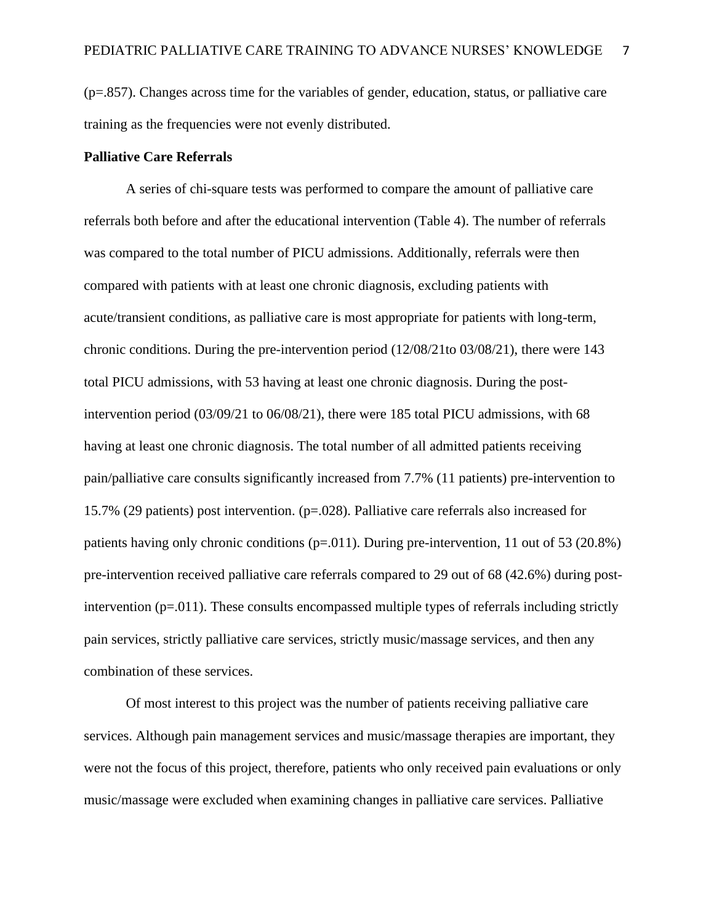(p=.857). Changes across time for the variables of gender, education, status, or palliative care training as the frequencies were not evenly distributed.

#### **Palliative Care Referrals**

A series of chi-square tests was performed to compare the amount of palliative care referrals both before and after the educational intervention (Table 4). The number of referrals was compared to the total number of PICU admissions. Additionally, referrals were then compared with patients with at least one chronic diagnosis, excluding patients with acute/transient conditions, as palliative care is most appropriate for patients with long-term, chronic conditions. During the pre-intervention period (12/08/21to 03/08/21), there were 143 total PICU admissions, with 53 having at least one chronic diagnosis. During the postintervention period (03/09/21 to 06/08/21), there were 185 total PICU admissions, with 68 having at least one chronic diagnosis. The total number of all admitted patients receiving pain/palliative care consults significantly increased from 7.7% (11 patients) pre-intervention to 15.7% (29 patients) post intervention. (p=.028). Palliative care referrals also increased for patients having only chronic conditions (p=.011). During pre-intervention, 11 out of 53 (20.8%) pre-intervention received palliative care referrals compared to 29 out of 68 (42.6%) during postintervention  $(p=0.011)$ . These consults encompassed multiple types of referrals including strictly pain services, strictly palliative care services, strictly music/massage services, and then any combination of these services.

Of most interest to this project was the number of patients receiving palliative care services. Although pain management services and music/massage therapies are important, they were not the focus of this project, therefore, patients who only received pain evaluations or only music/massage were excluded when examining changes in palliative care services. Palliative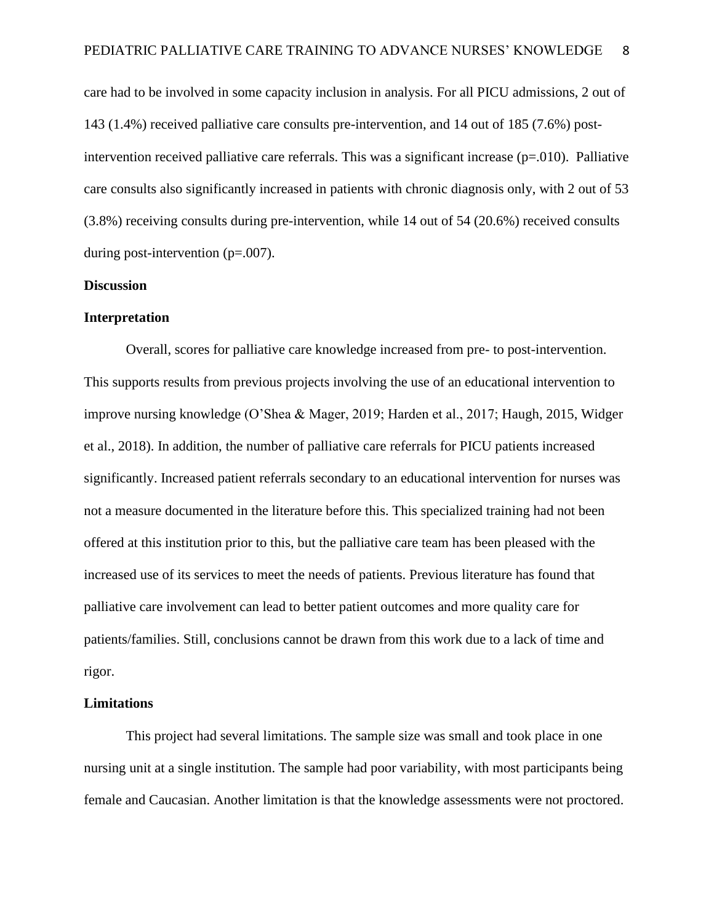care had to be involved in some capacity inclusion in analysis. For all PICU admissions, 2 out of 143 (1.4%) received palliative care consults pre-intervention, and 14 out of 185 (7.6%) postintervention received palliative care referrals. This was a significant increase ( $p=010$ ). Palliative care consults also significantly increased in patients with chronic diagnosis only, with 2 out of 53 (3.8%) receiving consults during pre-intervention, while 14 out of 54 (20.6%) received consults during post-intervention (p=.007).

#### **Discussion**

#### **Interpretation**

Overall, scores for palliative care knowledge increased from pre- to post-intervention. This supports results from previous projects involving the use of an educational intervention to improve nursing knowledge (O'Shea & Mager, 2019; Harden et al., 2017; Haugh, 2015, Widger et al., 2018). In addition, the number of palliative care referrals for PICU patients increased significantly. Increased patient referrals secondary to an educational intervention for nurses was not a measure documented in the literature before this. This specialized training had not been offered at this institution prior to this, but the palliative care team has been pleased with the increased use of its services to meet the needs of patients. Previous literature has found that palliative care involvement can lead to better patient outcomes and more quality care for patients/families. Still, conclusions cannot be drawn from this work due to a lack of time and rigor.

#### **Limitations**

This project had several limitations. The sample size was small and took place in one nursing unit at a single institution. The sample had poor variability, with most participants being female and Caucasian. Another limitation is that the knowledge assessments were not proctored.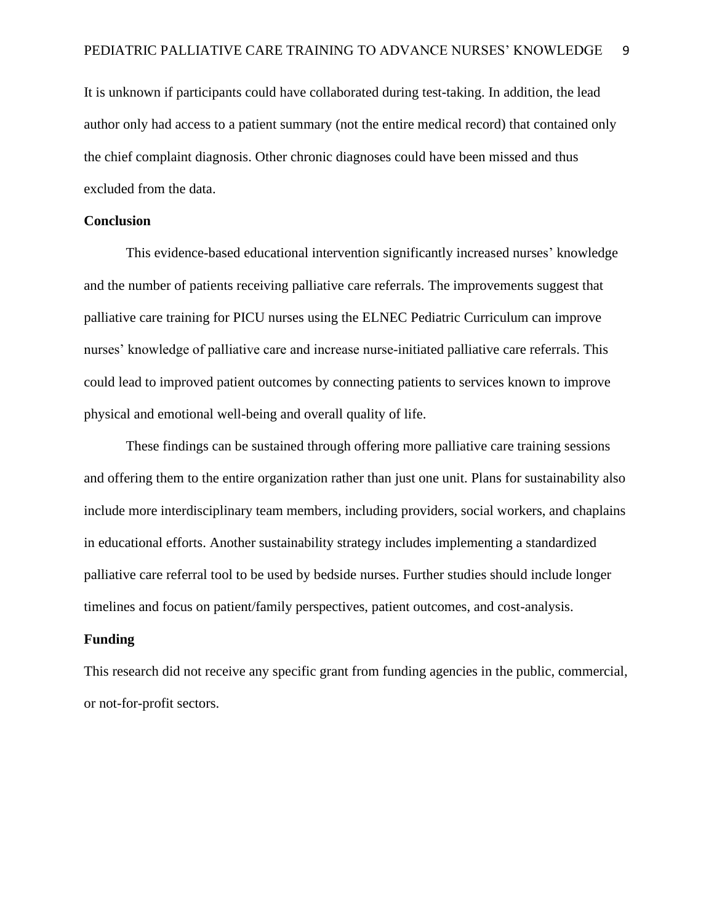It is unknown if participants could have collaborated during test-taking. In addition, the lead author only had access to a patient summary (not the entire medical record) that contained only the chief complaint diagnosis. Other chronic diagnoses could have been missed and thus excluded from the data.

#### **Conclusion**

This evidence-based educational intervention significantly increased nurses' knowledge and the number of patients receiving palliative care referrals. The improvements suggest that palliative care training for PICU nurses using the ELNEC Pediatric Curriculum can improve nurses' knowledge of palliative care and increase nurse-initiated palliative care referrals. This could lead to improved patient outcomes by connecting patients to services known to improve physical and emotional well-being and overall quality of life.

These findings can be sustained through offering more palliative care training sessions and offering them to the entire organization rather than just one unit. Plans for sustainability also include more interdisciplinary team members, including providers, social workers, and chaplains in educational efforts. Another sustainability strategy includes implementing a standardized palliative care referral tool to be used by bedside nurses. Further studies should include longer timelines and focus on patient/family perspectives, patient outcomes, and cost-analysis.

#### **Funding**

This research did not receive any specific grant from funding agencies in the public, commercial, or not-for-profit sectors.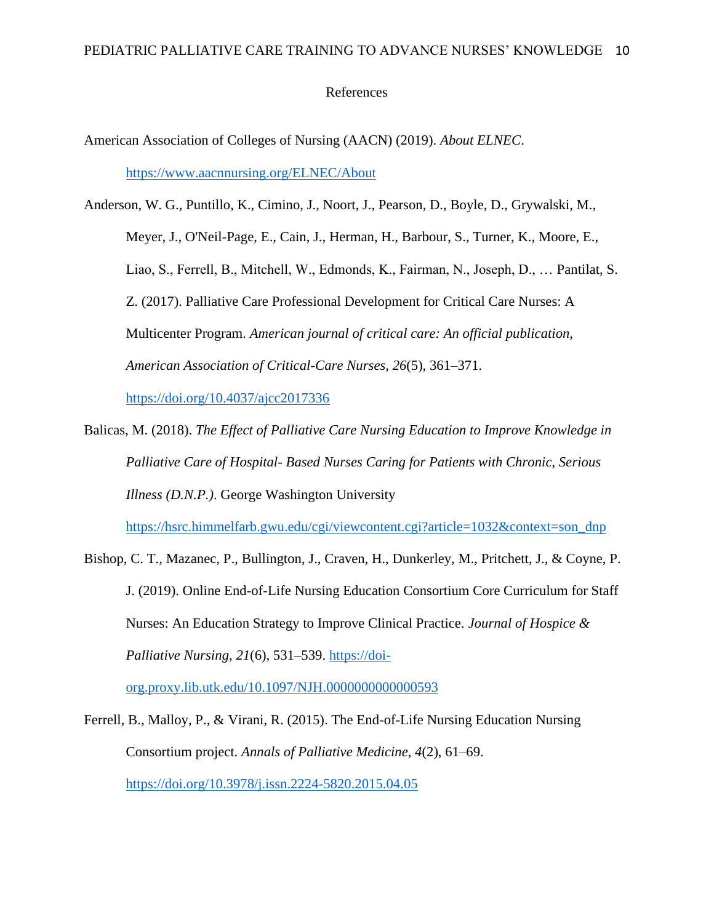#### References

American Association of Colleges of Nursing (AACN) (2019). *About ELNEC*. <https://www.aacnnursing.org/ELNEC/About>

Anderson, W. G., Puntillo, K., Cimino, J., Noort, J., Pearson, D., Boyle, D., Grywalski, M., Meyer, J., O'Neil-Page, E., Cain, J., Herman, H., Barbour, S., Turner, K., Moore, E., Liao, S., Ferrell, B., Mitchell, W., Edmonds, K., Fairman, N., Joseph, D., … Pantilat, S. Z. (2017). Palliative Care Professional Development for Critical Care Nurses: A Multicenter Program. *American journal of critical care: An official publication, American Association of Critical-Care Nurses*, *26*(5), 361–371. <https://doi.org/10.4037/ajcc2017336>

Balicas, M. (2018). *The Effect of Palliative Care Nursing Education to Improve Knowledge in Palliative Care of Hospital- Based Nurses Caring for Patients with Chronic, Serious Illness (D.N.P.)*. George Washington University

[https://hsrc.himmelfarb.gwu.edu/cgi/viewcontent.cgi?article=1032&context=son\\_dnp](https://hsrc.himmelfarb.gwu.edu/cgi/viewcontent.cgi?article=1032&context=son_dnp)

Bishop, C. T., Mazanec, P., Bullington, J., Craven, H., Dunkerley, M., Pritchett, J., & Coyne, P. J. (2019). Online End-of-Life Nursing Education Consortium Core Curriculum for Staff Nurses: An Education Strategy to Improve Clinical Practice. *Journal of Hospice & Palliative Nursing*, *21*(6), 531–539. [https://doi-](https://doi-org.proxy.lib.utk.edu/10.1097/NJH.0000000000000593)

[org.proxy.lib.utk.edu/10.1097/NJH.0000000000000593](https://doi-org.proxy.lib.utk.edu/10.1097/NJH.0000000000000593)

Ferrell, B., Malloy, P., & Virani, R. (2015). The End-of-Life Nursing Education Nursing Consortium project. *Annals of Palliative Medicine*, *4*(2), 61–69. <https://doi.org/10.3978/j.issn.2224-5820.2015.04.05>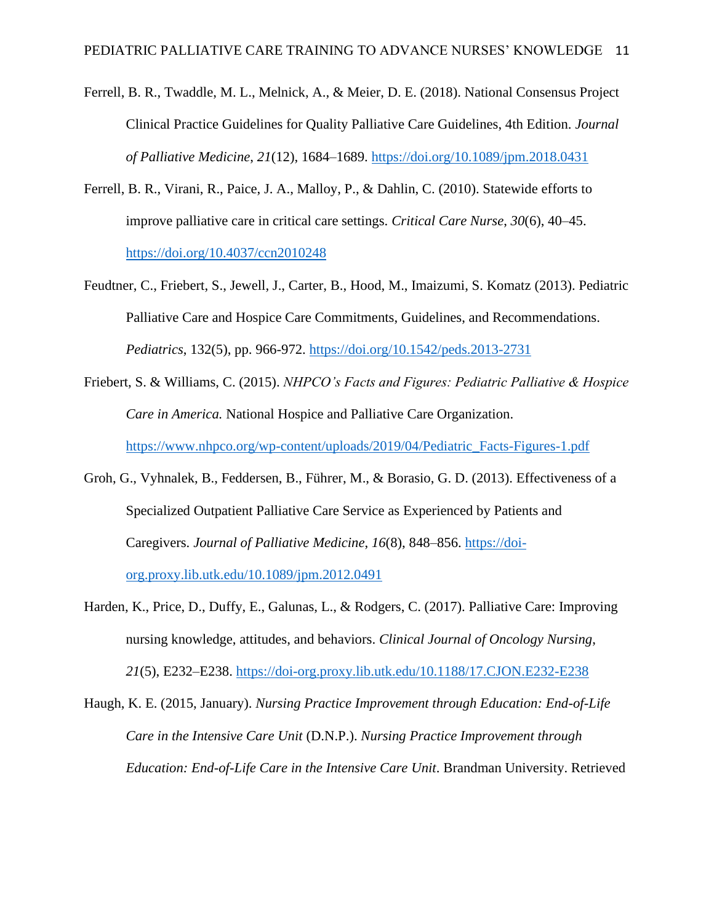- Ferrell, B. R., Twaddle, M. L., Melnick, A., & Meier, D. E. (2018). National Consensus Project Clinical Practice Guidelines for Quality Palliative Care Guidelines, 4th Edition. *Journal of Palliative Medicine*, *21*(12), 1684–1689.<https://doi.org/10.1089/jpm.2018.0431>
- Ferrell, B. R., Virani, R., Paice, J. A., Malloy, P., & Dahlin, C. (2010). Statewide efforts to improve palliative care in critical care settings. *Critical Care Nurse*, *30*(6), 40–45. <https://doi.org/10.4037/ccn2010248>
- Feudtner, C., Friebert, S., Jewell, J., Carter, B., Hood, M., Imaizumi, S. Komatz (2013). Pediatric Palliative Care and Hospice Care Commitments, Guidelines, and Recommendations. *Pediatrics*, 132(5), pp. 966-972.<https://doi.org/10.1542/peds.2013-2731>
- Friebert, S. & Williams, C. (2015). *NHPCO's Facts and Figures: Pediatric Palliative & Hospice Care in America.* National Hospice and Palliative Care Organization. [https://www.nhpco.org/wp-content/uploads/2019/04/Pediatric\\_Facts-Figures-1.pdf](https://www.nhpco.org/wp-content/uploads/2019/04/Pediatric_Facts-Figures-1.pdf)
- Groh, G., Vyhnalek, B., Feddersen, B., Führer, M., & Borasio, G. D. (2013). Effectiveness of a Specialized Outpatient Palliative Care Service as Experienced by Patients and Caregivers. *Journal of Palliative Medicine*, *16*(8), 848–856. [https://doi](https://doi-org.proxy.lib.utk.edu/10.1089/jpm.2012.0491)[org.proxy.lib.utk.edu/10.1089/jpm.2012.0491](https://doi-org.proxy.lib.utk.edu/10.1089/jpm.2012.0491)
- Harden, K., Price, D., Duffy, E., Galunas, L., & Rodgers, C. (2017). Palliative Care: Improving nursing knowledge, attitudes, and behaviors. *Clinical Journal of Oncology Nursing*, *21*(5), E232–E238.<https://doi-org.proxy.lib.utk.edu/10.1188/17.CJON.E232-E238>

Haugh, K. E. (2015, January). *Nursing Practice Improvement through Education: End-of-Life Care in the Intensive Care Unit* (D.N.P.). *Nursing Practice Improvement through Education: End-of-Life Care in the Intensive Care Unit*. Brandman University. Retrieved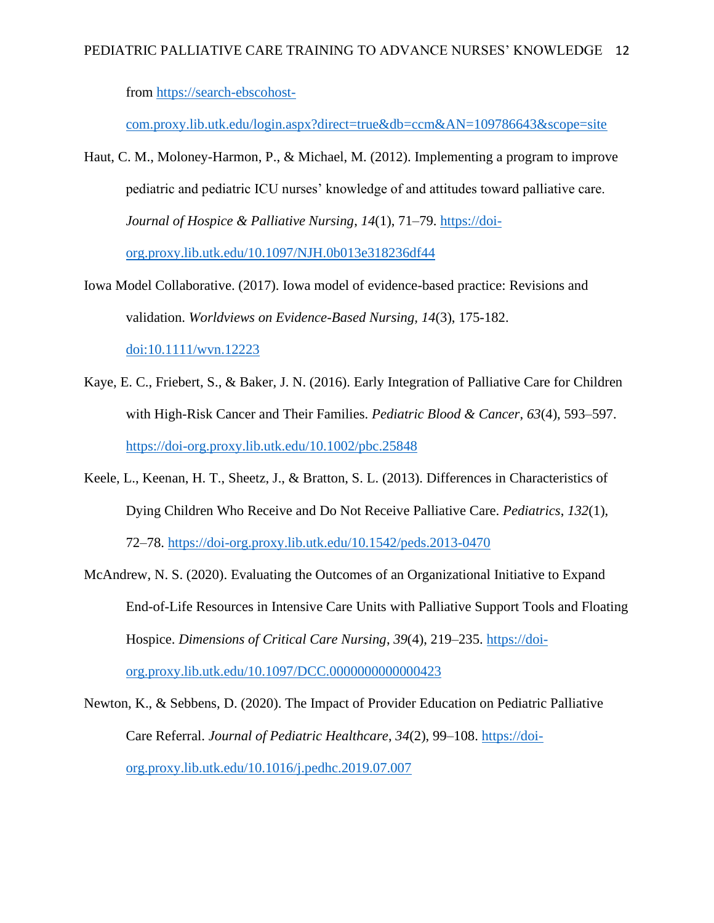from [https://search-ebscohost-](https://search-ebscohost-com.proxy.lib.utk.edu/login.aspx?direct=true&db=ccm&AN=109786643&scope=site)

[com.proxy.lib.utk.edu/login.aspx?direct=true&db=ccm&AN=109786643&scope=site](https://search-ebscohost-com.proxy.lib.utk.edu/login.aspx?direct=true&db=ccm&AN=109786643&scope=site)

- Haut, C. M., Moloney-Harmon, P., & Michael, M. (2012). Implementing a program to improve pediatric and pediatric ICU nurses' knowledge of and attitudes toward palliative care. *Journal of Hospice & Palliative Nursing*, *14*(1), 71–79. [https://doi](https://doi-org.proxy.lib.utk.edu/10.1097/NJH.0b013e318236df44)[org.proxy.lib.utk.edu/10.1097/NJH.0b013e318236df44](https://doi-org.proxy.lib.utk.edu/10.1097/NJH.0b013e318236df44)
- Iowa Model Collaborative. (2017). Iowa model of evidence-based practice: Revisions and validation. *Worldviews on Evidence-Based Nursing, 14*(3), 175-182. [doi:10.1111/wvn.12223](/doi/10.1111:wvn.12223)
- Kaye, E. C., Friebert, S., & Baker, J. N. (2016). Early Integration of Palliative Care for Children with High-Risk Cancer and Their Families. *Pediatric Blood & Cancer*, *63*(4), 593–597. <https://doi-org.proxy.lib.utk.edu/10.1002/pbc.25848>
- Keele, L., Keenan, H. T., Sheetz, J., & Bratton, S. L. (2013). Differences in Characteristics of Dying Children Who Receive and Do Not Receive Palliative Care. *Pediatrics*, *132*(1), 72–78.<https://doi-org.proxy.lib.utk.edu/10.1542/peds.2013-0470>
- McAndrew, N. S. (2020). Evaluating the Outcomes of an Organizational Initiative to Expand End-of-Life Resources in Intensive Care Units with Palliative Support Tools and Floating Hospice. *Dimensions of Critical Care Nursing*, *39*(4), 219–235. [https://doi](https://doi-org.proxy.lib.utk.edu/10.1097/DCC.0000000000000423)[org.proxy.lib.utk.edu/10.1097/DCC.0000000000000423](https://doi-org.proxy.lib.utk.edu/10.1097/DCC.0000000000000423)
- Newton, K., & Sebbens, D. (2020). The Impact of Provider Education on Pediatric Palliative Care Referral. *Journal of Pediatric Healthcare*, *34*(2), 99–108. [https://doi](https://doi-org.proxy.lib.utk.edu/10.1016/j.pedhc.2019.07.007)[org.proxy.lib.utk.edu/10.1016/j.pedhc.2019.07.007](https://doi-org.proxy.lib.utk.edu/10.1016/j.pedhc.2019.07.007)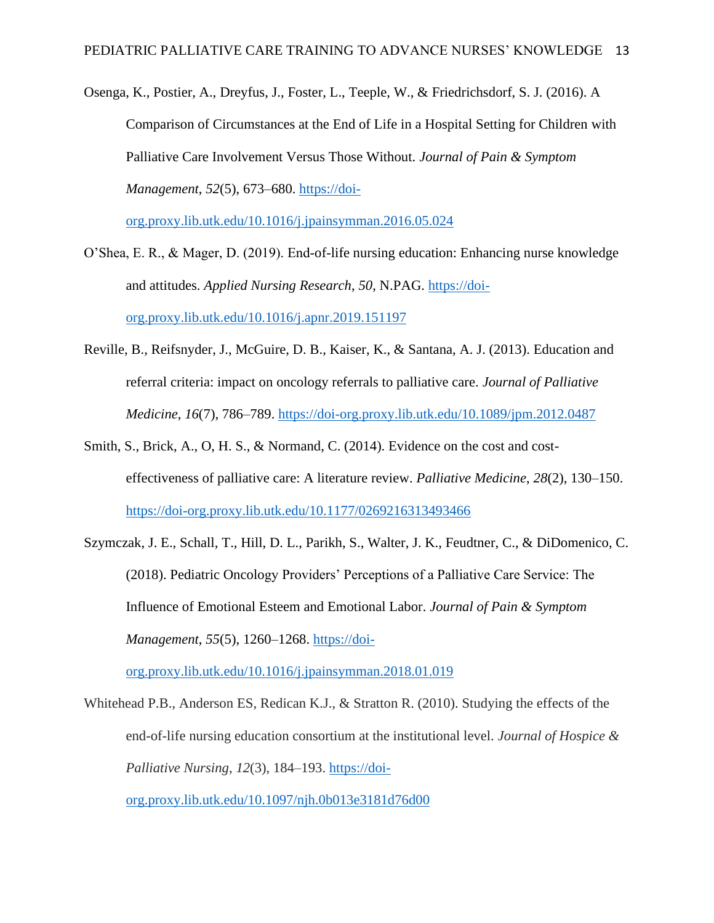Osenga, K., Postier, A., Dreyfus, J., Foster, L., Teeple, W., & Friedrichsdorf, S. J. (2016). A Comparison of Circumstances at the End of Life in a Hospital Setting for Children with Palliative Care Involvement Versus Those Without. *Journal of Pain & Symptom Management*, *52*(5), 673–680. [https://doi-](https://doi-org.proxy.lib.utk.edu/10.1016/j.jpainsymman.2016.05.024)

[org.proxy.lib.utk.edu/10.1016/j.jpainsymman.2016.05.024](https://doi-org.proxy.lib.utk.edu/10.1016/j.jpainsymman.2016.05.024)

- O'Shea, E. R., & Mager, D. (2019). End-of-life nursing education: Enhancing nurse knowledge and attitudes. *Applied Nursing Research*, *50*, N.PAG. [https://doi](https://doi-org.proxy.lib.utk.edu/10.1016/j.apnr.2019.151197)[org.proxy.lib.utk.edu/10.1016/j.apnr.2019.151197](https://doi-org.proxy.lib.utk.edu/10.1016/j.apnr.2019.151197)
- Reville, B., Reifsnyder, J., McGuire, D. B., Kaiser, K., & Santana, A. J. (2013). Education and referral criteria: impact on oncology referrals to palliative care. *Journal of Palliative Medicine*, *16*(7), 786–789.<https://doi-org.proxy.lib.utk.edu/10.1089/jpm.2012.0487>
- Smith, S., Brick, A., O, H. S., & Normand, C. (2014). Evidence on the cost and costeffectiveness of palliative care: A literature review. *Palliative Medicine*, *28*(2), 130–150. <https://doi-org.proxy.lib.utk.edu/10.1177/0269216313493466>
- Szymczak, J. E., Schall, T., Hill, D. L., Parikh, S., Walter, J. K., Feudtner, C., & DiDomenico, C. (2018). Pediatric Oncology Providers' Perceptions of a Palliative Care Service: The Influence of Emotional Esteem and Emotional Labor. *Journal of Pain & Symptom Management*, *55*(5), 1260–1268. [https://doi-](https://doi-org.proxy.lib.utk.edu/10.1016/j.jpainsymman.2018.01.019)

[org.proxy.lib.utk.edu/10.1016/j.jpainsymman.2018.01.019](https://doi-org.proxy.lib.utk.edu/10.1016/j.jpainsymman.2018.01.019)

Whitehead P.B., Anderson ES, Redican K.J., & Stratton R. (2010). Studying the effects of the end-of-life nursing education consortium at the institutional level. *Journal of Hospice & Palliative Nursing*, *12*(3), 184–193. [https://doi](https://doi-org.proxy.lib.utk.edu/10.1097/njh.0b013e3181d76d00)[org.proxy.lib.utk.edu/10.1097/njh.0b013e3181d76d00](https://doi-org.proxy.lib.utk.edu/10.1097/njh.0b013e3181d76d00)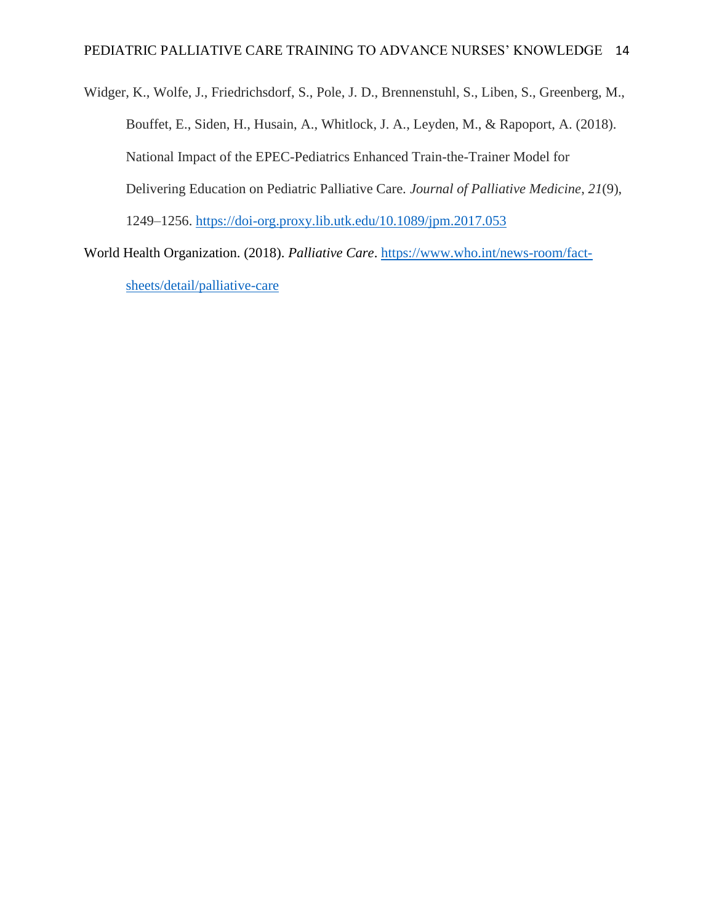Widger, K., Wolfe, J., Friedrichsdorf, S., Pole, J. D., Brennenstuhl, S., Liben, S., Greenberg, M., Bouffet, E., Siden, H., Husain, A., Whitlock, J. A., Leyden, M., & Rapoport, A. (2018). National Impact of the EPEC-Pediatrics Enhanced Train-the-Trainer Model for Delivering Education on Pediatric Palliative Care. *Journal of Palliative Medicine*, *21*(9), 1249–1256.<https://doi-org.proxy.lib.utk.edu/10.1089/jpm.2017.053>

World Health Organization. (2018). *Palliative Care*. [https://www.who.int/news-room/fact](https://www.who.int/news-room/fact-sheets/detail/palliative-care)[sheets/detail/palliative-care](https://www.who.int/news-room/fact-sheets/detail/palliative-care)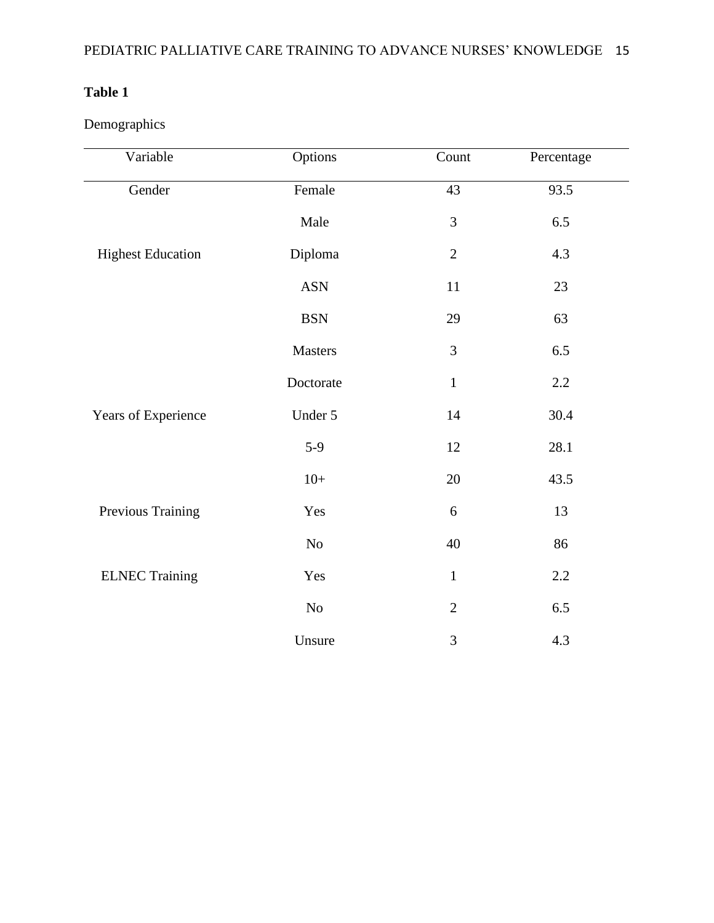Demographics

| Variable                 | Options    | Count          | Percentage |
|--------------------------|------------|----------------|------------|
| Gender                   | Female     | 43             | 93.5       |
|                          | Male       | 3              | 6.5        |
| <b>Highest Education</b> | Diploma    | $\overline{2}$ | 4.3        |
|                          | <b>ASN</b> | 11             | $23\,$     |
|                          | <b>BSN</b> | 29             | 63         |
|                          | Masters    | $\mathfrak{Z}$ | 6.5        |
|                          | Doctorate  | $\mathbf{1}$   | $2.2\,$    |
| Years of Experience      | Under 5    | 14             | 30.4       |
|                          | $5-9$      | 12             | 28.1       |
|                          | $10+$      | $20\,$         | 43.5       |
| Previous Training        | Yes        | 6              | 13         |
|                          | $\rm No$   | 40             | 86         |
| <b>ELNEC Training</b>    | Yes        | $\mathbf{1}$   | $2.2\,$    |
|                          | $\rm No$   | $\overline{2}$ | 6.5        |
|                          | Unsure     | $\mathfrak{Z}$ | 4.3        |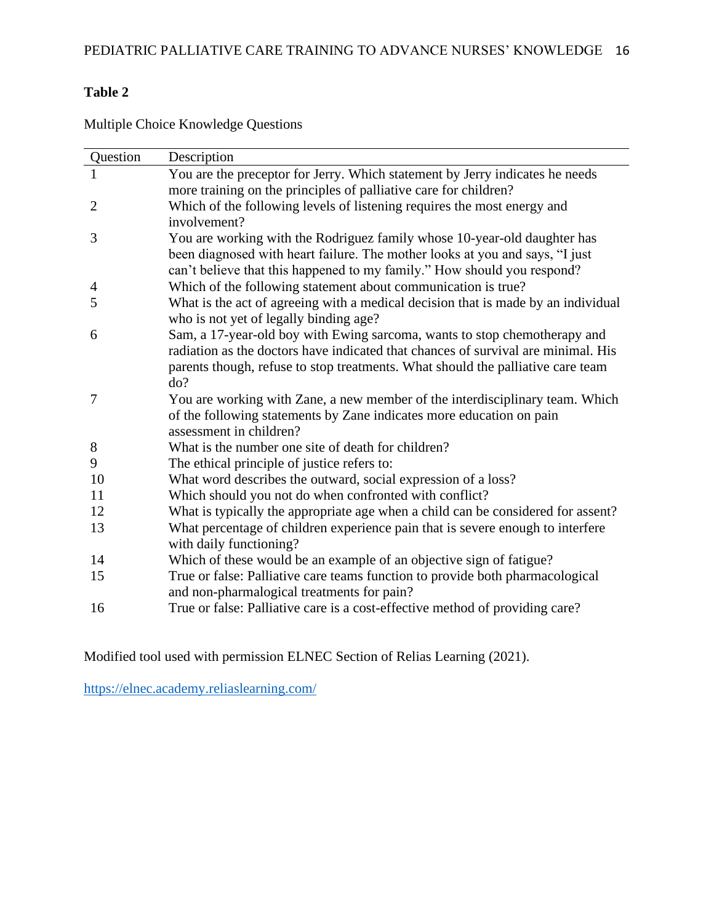| Question       | Description                                                                       |
|----------------|-----------------------------------------------------------------------------------|
|                | You are the preceptor for Jerry. Which statement by Jerry indicates he needs      |
|                | more training on the principles of palliative care for children?                  |
| $\overline{2}$ | Which of the following levels of listening requires the most energy and           |
|                | involvement?                                                                      |
| 3              | You are working with the Rodriguez family whose 10-year-old daughter has          |
|                | been diagnosed with heart failure. The mother looks at you and says, "I just      |
|                | can't believe that this happened to my family." How should you respond?           |
| 4              | Which of the following statement about communication is true?                     |
| 5              | What is the act of agreeing with a medical decision that is made by an individual |
|                | who is not yet of legally binding age?                                            |
| 6              | Sam, a 17-year-old boy with Ewing sarcoma, wants to stop chemotherapy and         |
|                | radiation as the doctors have indicated that chances of survival are minimal. His |
|                | parents though, refuse to stop treatments. What should the palliative care team   |
|                | do?                                                                               |
| 7              | You are working with Zane, a new member of the interdisciplinary team. Which      |
|                | of the following statements by Zane indicates more education on pain              |
|                | assessment in children?                                                           |
| 8              | What is the number one site of death for children?                                |
| 9              | The ethical principle of justice refers to:                                       |
| 10             | What word describes the outward, social expression of a loss?                     |
| 11             | Which should you not do when confronted with conflict?                            |
| 12             | What is typically the appropriate age when a child can be considered for assent?  |
| 13             | What percentage of children experience pain that is severe enough to interfere    |
|                | with daily functioning?                                                           |
| 14             | Which of these would be an example of an objective sign of fatigue?               |
| 15             | True or false: Palliative care teams function to provide both pharmacological     |
|                | and non-pharmalogical treatments for pain?                                        |
| 16             | True or false: Palliative care is a cost-effective method of providing care?      |
|                |                                                                                   |

Multiple Choice Knowledge Questions

Modified tool used with permission ELNEC Section of Relias Learning (2021).

<https://elnec.academy.reliaslearning.com/>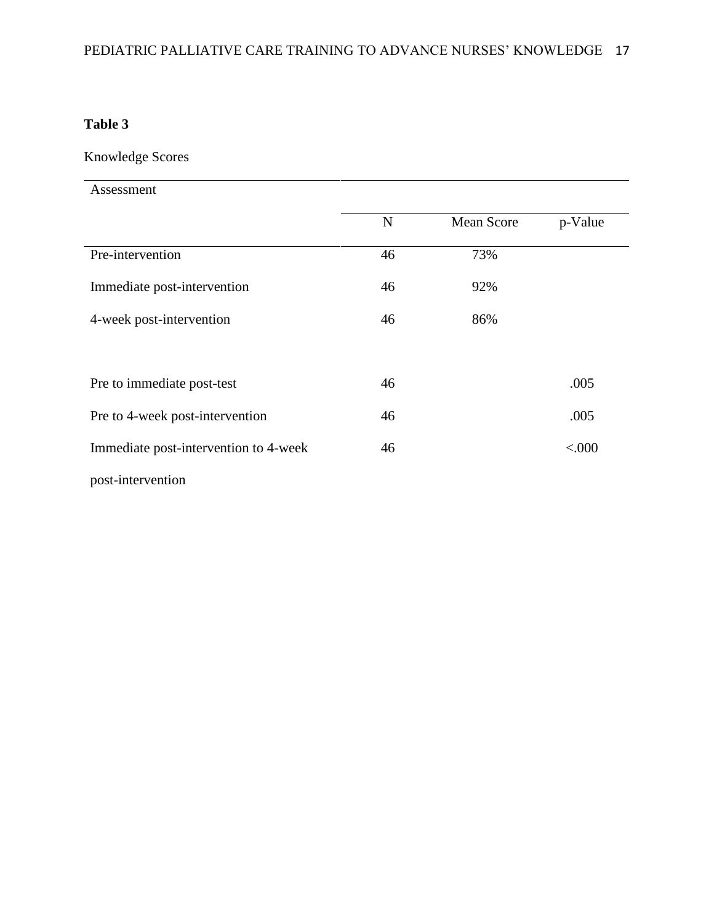Knowledge Scores

Assessment

|                                       | N  | <b>Mean Score</b> | p-Value |
|---------------------------------------|----|-------------------|---------|
| Pre-intervention                      | 46 | 73%               |         |
| Immediate post-intervention           | 46 | 92%               |         |
| 4-week post-intervention              | 46 | 86%               |         |
|                                       |    |                   |         |
| Pre to immediate post-test            | 46 |                   | .005    |
| Pre to 4-week post-intervention       | 46 |                   | .005    |
| Immediate post-intervention to 4-week | 46 |                   | < 000   |
| post-intervention                     |    |                   |         |